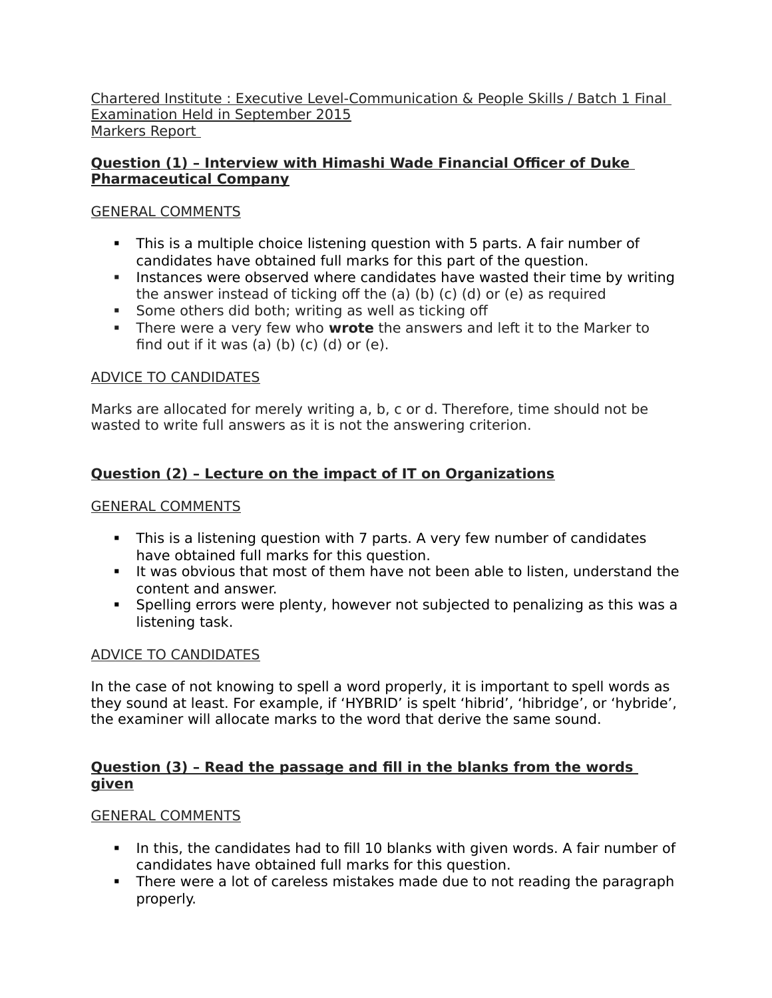Chartered Institute : Executive Level-Communication & People Skills / Batch 1 Final Examination Held in September 2015 Markers Report

# **Question (1) – Interview with Himashi Wade Financial Officer of Duke Pharmaceutical Company**

# GENERAL COMMENTS

- This is a multiple choice listening question with 5 parts. A fair number of candidates have obtained full marks for this part of the question.
- Instances were observed where candidates have wasted their time by writing the answer instead of ticking off the (a) (b) (c) (d) or (e) as required
- **Some others did both; writing as well as ticking off**
- There were a very few who **wrote** the answers and left it to the Marker to find out if it was (a) (b) (c) (d) or (e).

# ADVICE TO CANDIDATES

Marks are allocated for merely writing a, b, c or d. Therefore, time should not be wasted to write full answers as it is not the answering criterion.

# **Question (2) – Lecture on the impact of IT on Organizations**

# GENERAL COMMENTS

- This is a listening question with 7 parts. A very few number of candidates have obtained full marks for this question.
- It was obvious that most of them have not been able to listen, understand the content and answer.
- Spelling errors were plenty, however not subjected to penalizing as this was a listening task.

# ADVICE TO CANDIDATES

In the case of not knowing to spell a word properly, it is important to spell words as they sound at least. For example, if 'HYBRID' is spelt 'hibrid', 'hibridge', or 'hybride', the examiner will allocate marks to the word that derive the same sound.

# **Question (3) – Read the passage and fill in the blanks from the words given**

# GENERAL COMMENTS

- In this, the candidates had to fill 10 blanks with given words. A fair number of candidates have obtained full marks for this question.
- There were a lot of careless mistakes made due to not reading the paragraph properly.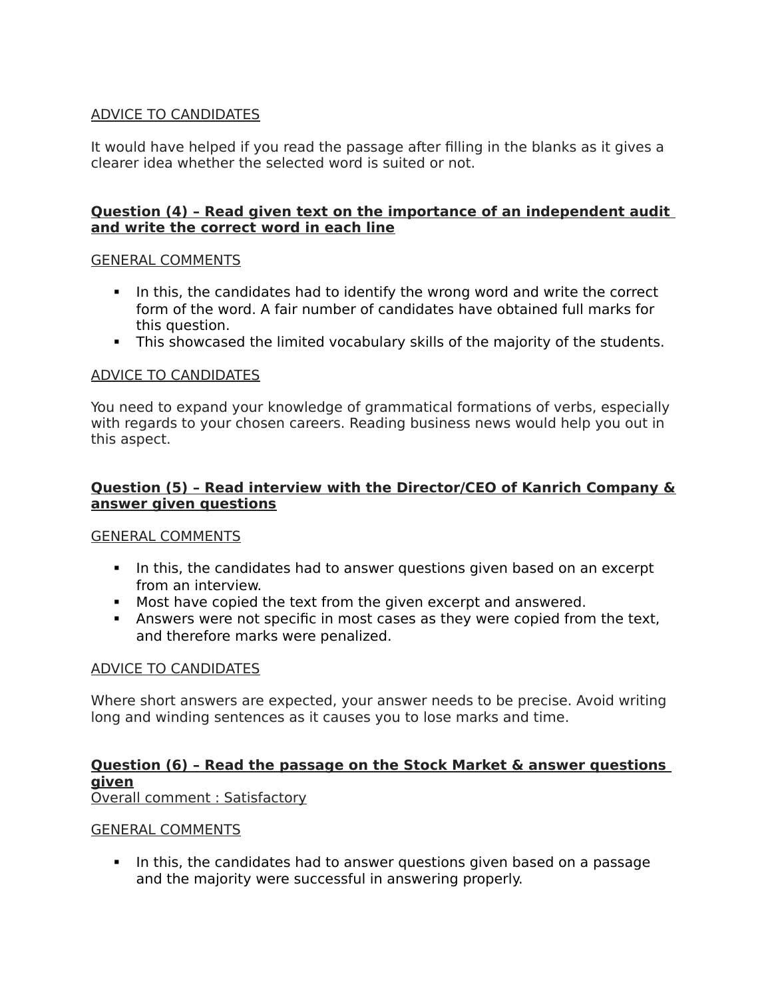# ADVICE TO CANDIDATES

It would have helped if you read the passage after filling in the blanks as it gives a clearer idea whether the selected word is suited or not.

## **Question (4) – Read given text on the importance of an independent audit and write the correct word in each line**

## GENERAL COMMENTS

- In this, the candidates had to identify the wrong word and write the correct form of the word. A fair number of candidates have obtained full marks for this question.
- This showcased the limited vocabulary skills of the majority of the students.

## ADVICE TO CANDIDATES

You need to expand your knowledge of grammatical formations of verbs, especially with regards to your chosen careers. Reading business news would help you out in this aspect.

## **Question (5) – Read interview with the Director/CEO of Kanrich Company & answer given questions**

#### GENERAL COMMENTS

- In this, the candidates had to answer questions given based on an excerpt from an interview.
- Most have copied the text from the given excerpt and answered.
- Answers were not specific in most cases as they were copied from the text, and therefore marks were penalized.

#### ADVICE TO CANDIDATES

Where short answers are expected, your answer needs to be precise. Avoid writing long and winding sentences as it causes you to lose marks and time.

# **Question (6) – Read the passage on the Stock Market & answer questions given**

Overall comment : Satisfactory

#### GENERAL COMMENTS

In this, the candidates had to answer questions given based on a passage and the majority were successful in answering properly.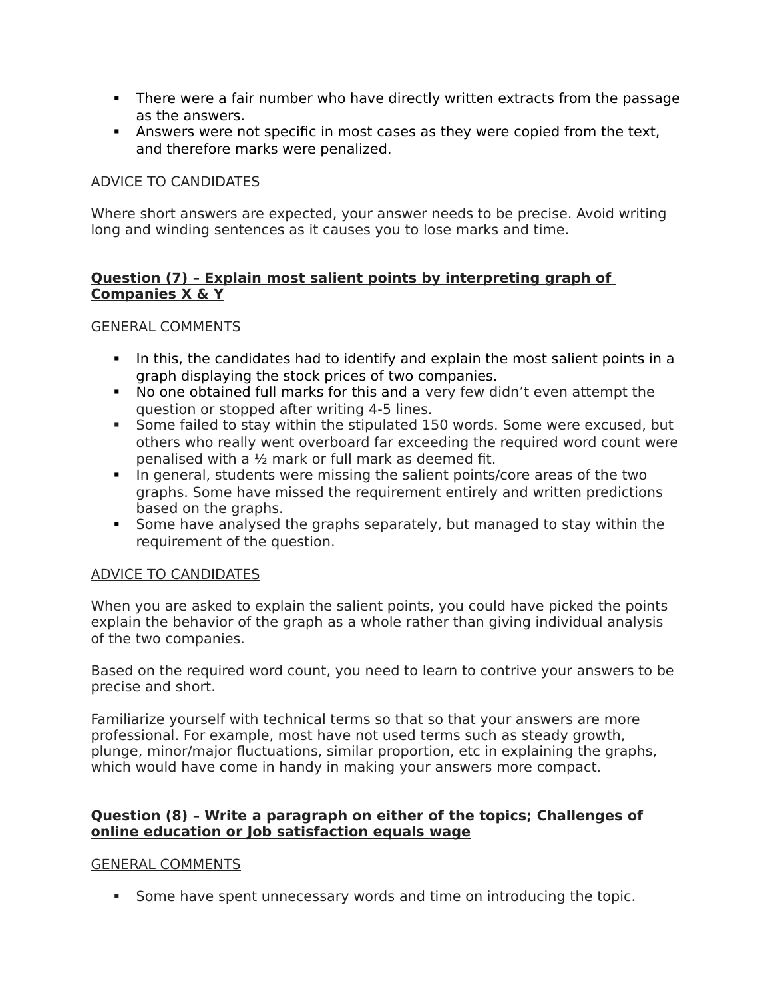- There were a fair number who have directly written extracts from the passage as the answers.
- Answers were not specific in most cases as they were copied from the text, and therefore marks were penalized.

## ADVICE TO CANDIDATES

Where short answers are expected, your answer needs to be precise. Avoid writing long and winding sentences as it causes you to lose marks and time.

## **Question (7) – Explain most salient points by interpreting graph of Companies X & Y**

## GENERAL COMMENTS

- In this, the candidates had to identify and explain the most salient points in a graph displaying the stock prices of two companies.
- No one obtained full marks for this and a very few didn't even attempt the question or stopped after writing 4-5 lines.
- Some failed to stay within the stipulated 150 words. Some were excused, but others who really went overboard far exceeding the required word count were penalised with a ½ mark or full mark as deemed fit.
- In general, students were missing the salient points/core areas of the two graphs. Some have missed the requirement entirely and written predictions based on the graphs.
- Some have analysed the graphs separately, but managed to stay within the requirement of the question.

#### ADVICE TO CANDIDATES

When you are asked to explain the salient points, you could have picked the points explain the behavior of the graph as a whole rather than giving individual analysis of the two companies.

Based on the required word count, you need to learn to contrive your answers to be precise and short.

Familiarize yourself with technical terms so that so that your answers are more professional. For example, most have not used terms such as steady growth, plunge, minor/major fluctuations, similar proportion, etc in explaining the graphs, which would have come in handy in making your answers more compact.

## **Question (8) – Write a paragraph on either of the topics; Challenges of online education or Job satisfaction equals wage**

#### GENERAL COMMENTS

Some have spent unnecessary words and time on introducing the topic.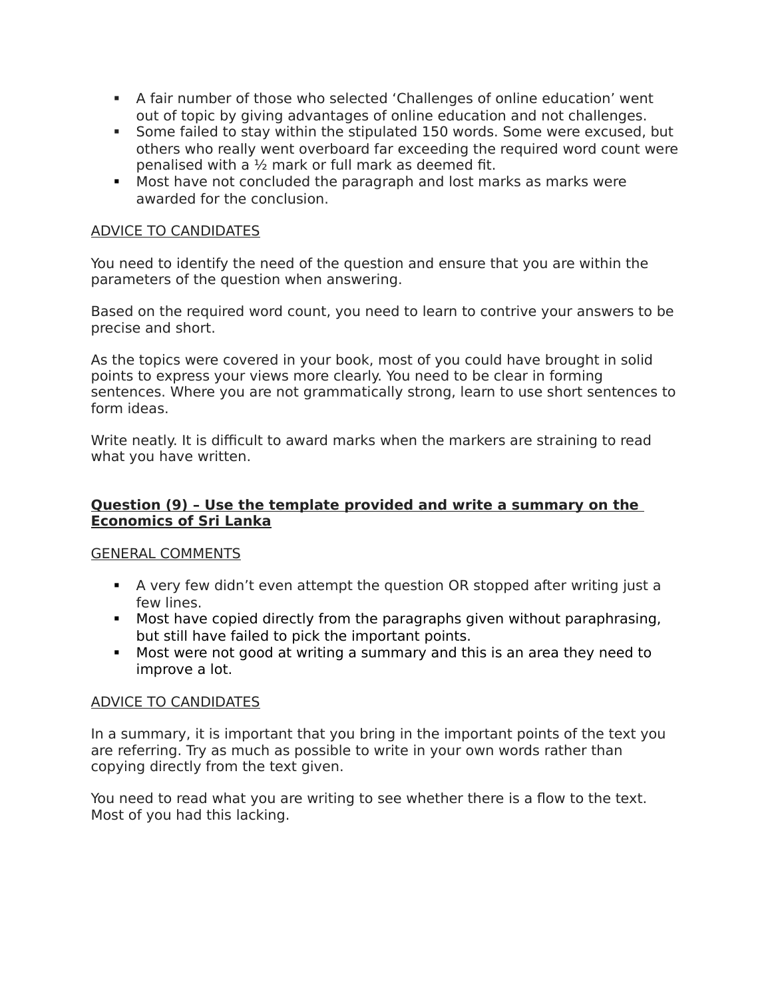- A fair number of those who selected 'Challenges of online education' went out of topic by giving advantages of online education and not challenges.
- Some failed to stay within the stipulated 150 words. Some were excused, but others who really went overboard far exceeding the required word count were penalised with a ½ mark or full mark as deemed fit.
- Most have not concluded the paragraph and lost marks as marks were awarded for the conclusion.

## ADVICE TO CANDIDATES

You need to identify the need of the question and ensure that you are within the parameters of the question when answering.

Based on the required word count, you need to learn to contrive your answers to be precise and short.

As the topics were covered in your book, most of you could have brought in solid points to express your views more clearly. You need to be clear in forming sentences. Where you are not grammatically strong, learn to use short sentences to form ideas.

Write neatly. It is difficult to award marks when the markers are straining to read what you have written.

## **Question (9) – Use the template provided and write a summary on the Economics of Sri Lanka**

#### GENERAL COMMENTS

- A very few didn't even attempt the question OR stopped after writing just a few lines.
- Most have copied directly from the paragraphs given without paraphrasing, but still have failed to pick the important points.
- Most were not good at writing a summary and this is an area they need to improve a lot.

#### ADVICE TO CANDIDATES

In a summary, it is important that you bring in the important points of the text you are referring. Try as much as possible to write in your own words rather than copying directly from the text given.

You need to read what you are writing to see whether there is a flow to the text. Most of you had this lacking.